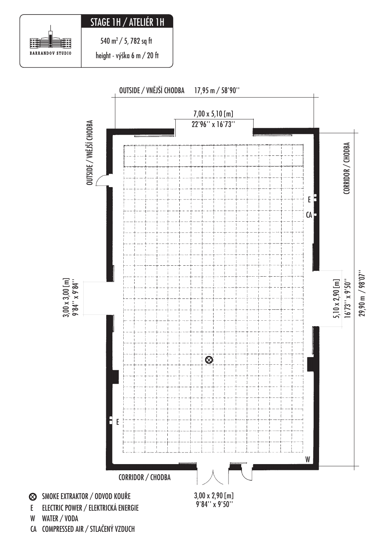## STAGE 1H / ATELIÉR 1H

Ð B BARRANDOV STUDIO

540 m<sup>2</sup> / 5, 782 sq ft

height - výška 6 m / 20 ft



CA COMPRESSED AIR / STLAČENÝ VZDUCH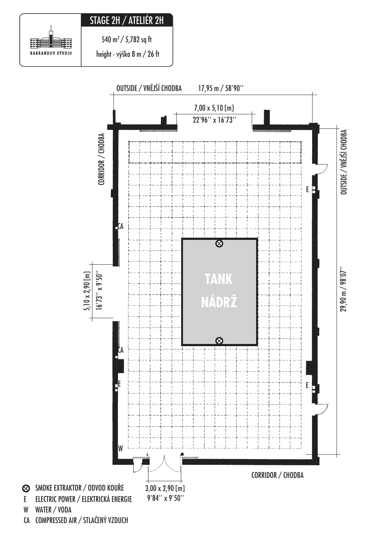## STAGE 2H / ATELIÉR 2H



540 m<sup>2</sup> / 5,782 sq ft

height - výška 8 m / 26 ft

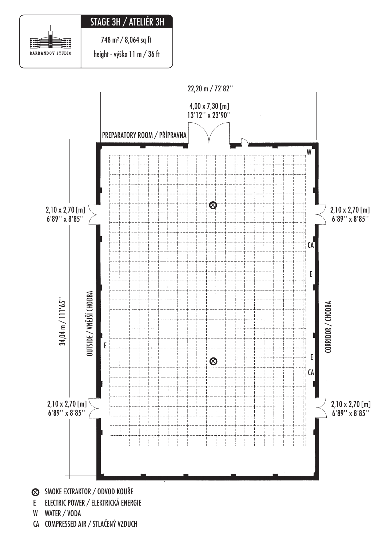## STAGE 3H / ATELIÉR 3H

霸 臎 BARRANDOV STUDIO

 $748 \text{ m}^2 / 8,064 \text{ sq ft}$ 

height - výška 11 m / 36 ft



W WATER / VODA

CA COMPRESSED AIR / STLAČENÝ VZDUCH